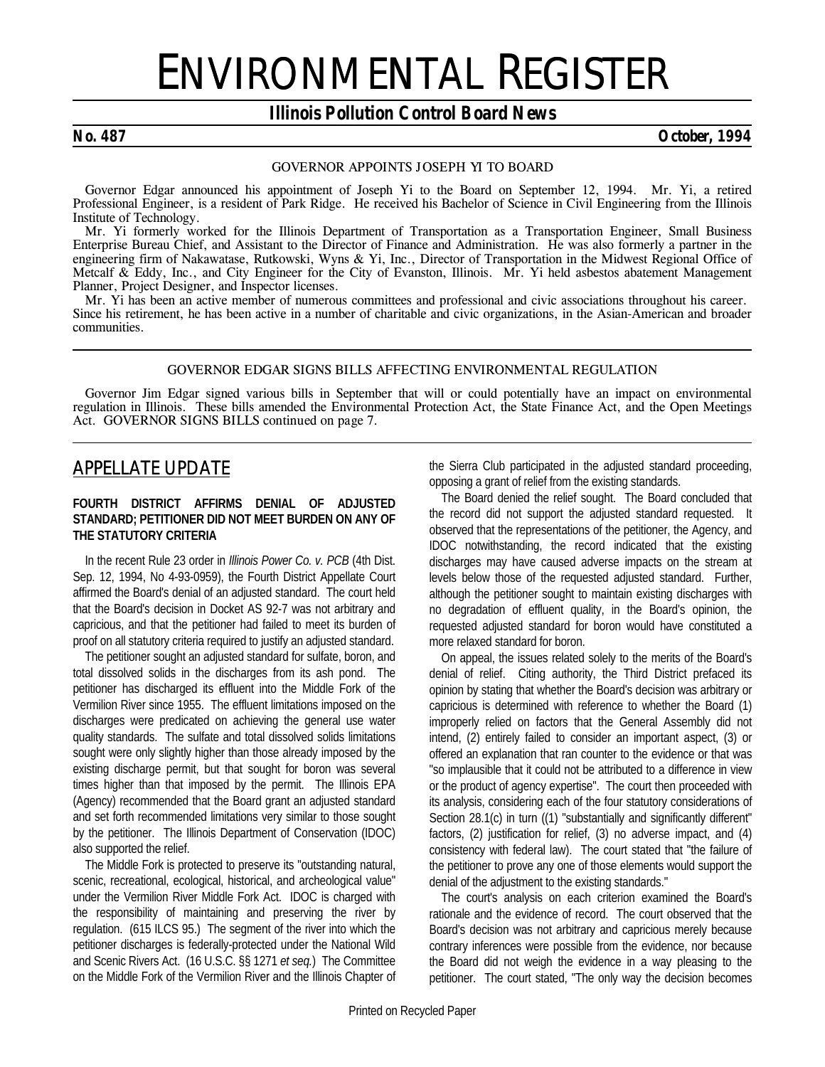# ENVIRONMENTAL REGISTER

## *Illinois Pollution Control Board News*

#### *No. 487 October, 1994*

#### *GOVERNOR APPOINTS JOSEPH YI TO BOARD*

Governor Edgar announced his appointment of Joseph Yi to the Board on September 12, 1994. Mr. Yi, a retired Professional Engineer, is a resident of Park Ridge. He received his Bachelor of Science in Civil Engineering from the Illinois Institute of Technology.

Mr. Yi formerly worked for the Illinois Department of Transportation as a Transportation Engineer, Small Business Enterprise Bureau Chief, and Assistant to the Director of Finance and Administration. He was also formerly a partner in the engineering firm of Nakawatase, Rutkowski, Wyns & Yi, Inc., Director of Transportation in the Midwest Regional Office of Metcalf & Eddy, Inc., and City Engineer for the City of Evanston, Illinois. Mr. Yi held asbestos abatement Management Planner, Project Designer, and Inspector licenses.

Mr. Yi has been an active member of numerous committees and professional and civic associations throughout his career. Since his retirement, he has been active in a number of charitable and civic organizations, in the Asian-American and broader communities.

#### *GOVERNOR EDGAR SIGNS BILLS AFFECTING ENVIRONMENTAL REGULATION*

Governor Jim Edgar signed various bills in September that will or could potentially have an impact on environmental regulation in Illinois. These bills amended the Environmental Protection Act, the State Finance Act, and the Open Meetings Act. *GOVERNOR SIGNS BILLS continued on page 7.*

## *APPELLATE UPDATE*

#### **FOURTH DISTRICT AFFIRMS DENIAL OF ADJUSTED STANDARD; PETITIONER DID NOT MEET BURDEN ON ANY OF THE STATUTORY CRITERIA**

In the recent Rule 23 order in *Illinois Power Co. v. PCB* (4th Dist. Sep. 12, 1994, No 4-93-0959), the Fourth District Appellate Court affirmed the Board's denial of an adjusted standard. The court held that the Board's decision in Docket AS 92-7 was not arbitrary and capricious, and that the petitioner had failed to meet its burden of proof on all statutory criteria required to justify an adjusted standard.

The petitioner sought an adjusted standard for sulfate, boron, and total dissolved solids in the discharges from its ash pond. The petitioner has discharged its effluent into the Middle Fork of the Vermilion River since 1955. The effluent limitations imposed on the discharges were predicated on achieving the general use water quality standards. The sulfate and total dissolved solids limitations sought were only slightly higher than those already imposed by the existing discharge permit, but that sought for boron was several times higher than that imposed by the permit. The Illinois EPA (Agency) recommended that the Board grant an adjusted standard and set forth recommended limitations very similar to those sought by the petitioner. The Illinois Department of Conservation (IDOC) also supported the relief.

The Middle Fork is protected to preserve its "outstanding natural, scenic, recreational, ecological, historical, and archeological value" under the Vermilion River Middle Fork Act. IDOC is charged with the responsibility of maintaining and preserving the river by regulation. (615 ILCS 95.) The segment of the river into which the petitioner discharges is federally-protected under the National Wild and Scenic Rivers Act. (16 U.S.C. §§ 1271 *et seq.*) The Committee on the Middle Fork of the Vermilion River and the Illinois Chapter of the Sierra Club participated in the adjusted standard proceeding, opposing a grant of relief from the existing standards.

The Board denied the relief sought. The Board concluded that the record did not support the adjusted standard requested. It observed that the representations of the petitioner, the Agency, and IDOC notwithstanding, the record indicated that the existing discharges may have caused adverse impacts on the stream at levels below those of the requested adjusted standard. Further, although the petitioner sought to maintain existing discharges with no degradation of effluent quality, in the Board's opinion, the requested adjusted standard for boron would have constituted a more relaxed standard for boron.

On appeal, the issues related solely to the merits of the Board's denial of relief. Citing authority, the Third District prefaced its opinion by stating that whether the Board's decision was arbitrary or capricious is determined with reference to whether the Board (1) improperly relied on factors that the General Assembly did not intend, (2) entirely failed to consider an important aspect, (3) or offered an explanation that ran counter to the evidence or that was "so implausible that it could not be attributed to a difference in view or the product of agency expertise". The court then proceeded with its analysis, considering each of the four statutory considerations of Section 28.1(c) in turn ((1) "substantially and significantly different" factors, (2) justification for relief, (3) no adverse impact, and (4) consistency with federal law). The court stated that "the failure of the petitioner to prove any one of those elements would support the denial of the adjustment to the existing standards."

The court's analysis on each criterion examined the Board's rationale and the evidence of record. The court observed that the Board's decision was not arbitrary and capricious merely because contrary inferences were possible from the evidence, nor because the Board did not weigh the evidence in a way pleasing to the petitioner. The court stated, "The only way the decision becomes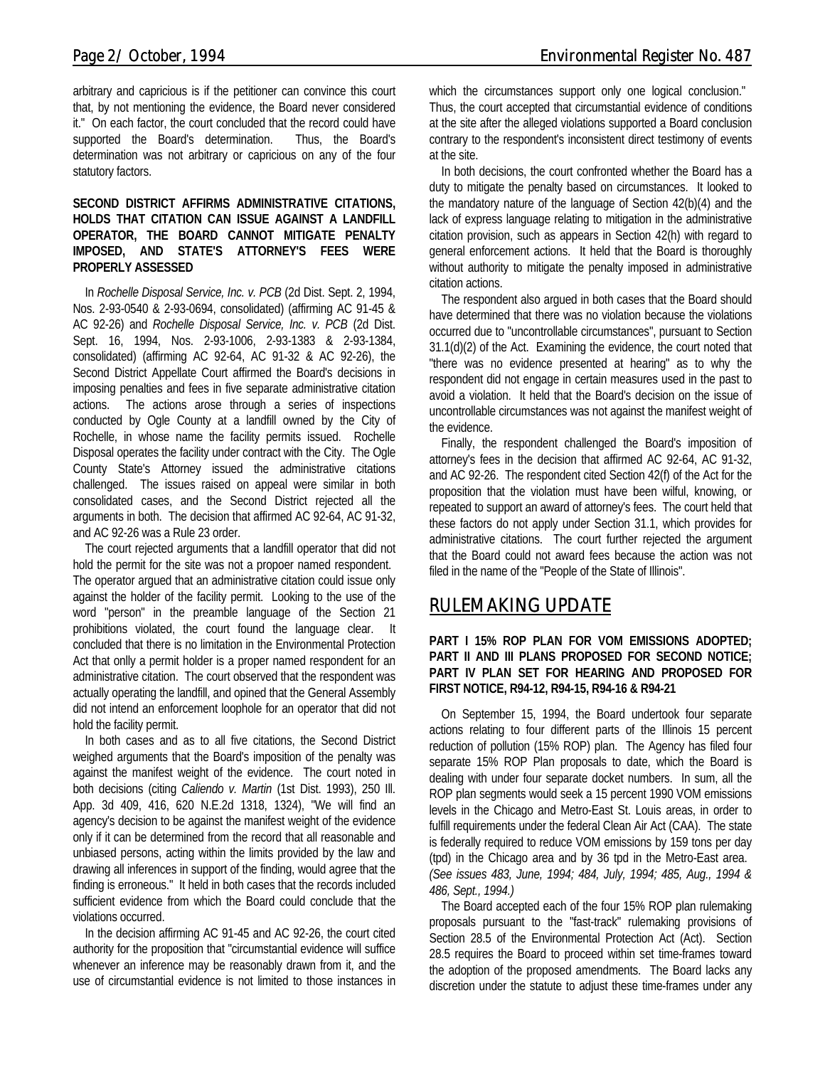arbitrary and capricious is if the petitioner can convince this court that, by not mentioning the evidence, the Board never considered it." On each factor, the court concluded that the record could have supported the Board's determination. Thus, the Board's determination was not arbitrary or capricious on any of the four statutory factors.

#### **SECOND DISTRICT AFFIRMS ADMINISTRATIVE CITATIONS, HOLDS THAT CITATION CAN ISSUE AGAINST A LANDFILL OPERATOR, THE BOARD CANNOT MITIGATE PENALTY IMPOSED, AND STATE'S ATTORNEY'S FEES WERE PROPERLY ASSESSED**

In *Rochelle Disposal Service, Inc. v. PCB* (2d Dist. Sept. 2, 1994, Nos. 2-93-0540 & 2-93-0694, consolidated) (affirming AC 91-45 & AC 92-26) and *Rochelle Disposal Service, Inc. v. PCB* (2d Dist. Sept. 16, 1994, Nos. 2-93-1006, 2-93-1383 & 2-93-1384, consolidated) (affirming AC 92-64, AC 91-32 & AC 92-26), the Second District Appellate Court affirmed the Board's decisions in imposing penalties and fees in five separate administrative citation actions. The actions arose through a series of inspections conducted by Ogle County at a landfill owned by the City of Rochelle, in whose name the facility permits issued. Rochelle Disposal operates the facility under contract with the City. The Ogle County State's Attorney issued the administrative citations challenged. The issues raised on appeal were similar in both consolidated cases, and the Second District rejected all the arguments in both. The decision that affirmed AC 92-64, AC 91-32, and AC 92-26 was a Rule 23 order.

The court rejected arguments that a landfill operator that did not hold the permit for the site was not a propoer named respondent. The operator argued that an administrative citation could issue only against the holder of the facility permit. Looking to the use of the word "person" in the preamble language of the Section 21 prohibitions violated, the court found the language clear. It concluded that there is no limitation in the Environmental Protection Act that onlly a permit holder is a proper named respondent for an administrative citation. The court observed that the respondent was actually operating the landfill, and opined that the General Assembly did not intend an enforcement loophole for an operator that did not hold the facility permit.

In both cases and as to all five citations, the Second District weighed arguments that the Board's imposition of the penalty was against the manifest weight of the evidence. The court noted in both decisions (citing *Caliendo v. Martin* (1st Dist. 1993), 250 Ill. App. 3d 409, 416, 620 N.E.2d 1318, 1324), "We will find an agency's decision to be against the manifest weight of the evidence only if it can be determined from the record that all reasonable and unbiased persons, acting within the limits provided by the law and drawing all inferences in support of the finding, would agree that the finding is erroneous." It held in both cases that the records included sufficient evidence from which the Board could conclude that the violations occurred.

In the decision affirming AC 91-45 and AC 92-26, the court cited authority for the proposition that "circumstantial evidence will suffice whenever an inference may be reasonably drawn from it, and the use of circumstantial evidence is not limited to those instances in which the circumstances support only one logical conclusion." Thus, the court accepted that circumstantial evidence of conditions at the site after the alleged violations supported a Board conclusion contrary to the respondent's inconsistent direct testimony of events at the site.

In both decisions, the court confronted whether the Board has a duty to mitigate the penalty based on circumstances. It looked to the mandatory nature of the language of Section 42(b)(4) and the lack of express language relating to mitigation in the administrative citation provision, such as appears in Section 42(h) with regard to general enforcement actions. It held that the Board is thoroughly without authority to mitigate the penalty imposed in administrative citation actions.

The respondent also argued in both cases that the Board should have determined that there was no violation because the violations occurred due to "uncontrollable circumstances", pursuant to Section 31.1(d)(2) of the Act. Examining the evidence, the court noted that "there was no evidence presented at hearing" as to why the respondent did not engage in certain measures used in the past to avoid a violation. It held that the Board's decision on the issue of uncontrollable circumstances was not against the manifest weight of the evidence.

Finally, the respondent challenged the Board's imposition of attorney's fees in the decision that affirmed AC 92-64, AC 91-32, and AC 92-26. The respondent cited Section 42(f) of the Act for the proposition that the violation must have been wilful, knowing, or repeated to support an award of attorney's fees. The court held that these factors do not apply under Section 31.1, which provides for administrative citations. The court further rejected the argument that the Board could not award fees because the action was not filed in the name of the "People of the State of Illinois".

## *RULEMAKING UPDATE*

#### **PART I 15% ROP PLAN FOR VOM EMISSIONS ADOPTED; PART II AND III PLANS PROPOSED FOR SECOND NOTICE; PART IV PLAN SET FOR HEARING AND PROPOSED FOR FIRST NOTICE, R94-12, R94-15, R94-16 & R94-21**

On September 15, 1994, the Board undertook four separate actions relating to four different parts of the Illinois 15 percent reduction of pollution (15% ROP) plan. The Agency has filed four separate 15% ROP Plan proposals to date, which the Board is dealing with under four separate docket numbers. In sum, all the ROP plan segments would seek a 15 percent 1990 VOM emissions levels in the Chicago and Metro-East St. Louis areas, in order to fulfill requirements under the federal Clean Air Act (CAA). The state is federally required to reduce VOM emissions by 159 tons per day (tpd) in the Chicago area and by 36 tpd in the Metro-East area. *(See issues 483, June, 1994; 484, July, 1994; 485, Aug., 1994 & 486, Sept., 1994.)*

The Board accepted each of the four 15% ROP plan rulemaking proposals pursuant to the "fast-track" rulemaking provisions of Section 28.5 of the Environmental Protection Act (Act). Section 28.5 requires the Board to proceed within set time-frames toward the adoption of the proposed amendments. The Board lacks any discretion under the statute to adjust these time-frames under any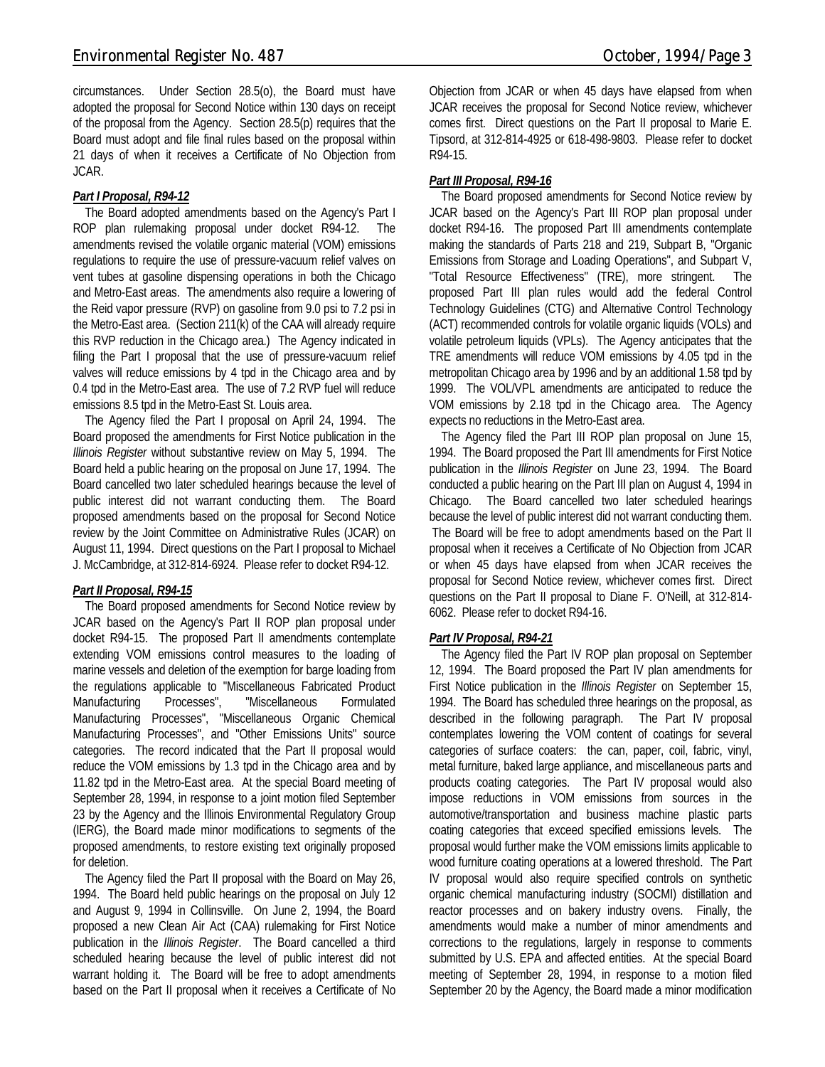circumstances. Under Section 28.5(o), the Board must have adopted the proposal for Second Notice within 130 days on receipt of the proposal from the Agency. Section 28.5(p) requires that the Board must adopt and file final rules based on the proposal within 21 days of when it receives a Certificate of No Objection from JCAR.

#### *Part I Proposal, R94-12*

The Board adopted amendments based on the Agency's Part I ROP plan rulemaking proposal under docket R94-12. The amendments revised the volatile organic material (VOM) emissions regulations to require the use of pressure-vacuum relief valves on vent tubes at gasoline dispensing operations in both the Chicago and Metro-East areas. The amendments also require a lowering of the Reid vapor pressure (RVP) on gasoline from 9.0 psi to 7.2 psi in the Metro-East area. (Section 211(k) of the CAA will already require this RVP reduction in the Chicago area.) The Agency indicated in filing the Part I proposal that the use of pressure-vacuum relief valves will reduce emissions by 4 tpd in the Chicago area and by 0.4 tpd in the Metro-East area. The use of 7.2 RVP fuel will reduce emissions 8.5 tpd in the Metro-East St. Louis area.

The Agency filed the Part I proposal on April 24, 1994. The Board proposed the amendments for First Notice publication in the *Illinois Register* without substantive review on May 5, 1994. The Board held a public hearing on the proposal on June 17, 1994. The Board cancelled two later scheduled hearings because the level of public interest did not warrant conducting them. The Board proposed amendments based on the proposal for Second Notice review by the Joint Committee on Administrative Rules (JCAR) on August 11, 1994. Direct questions on the Part I proposal to Michael J. McCambridge, at 312-814-6924. Please refer to docket R94-12.

#### *Part II Proposal, R94-15*

The Board proposed amendments for Second Notice review by JCAR based on the Agency's Part II ROP plan proposal under docket R94-15. The proposed Part II amendments contemplate extending VOM emissions control measures to the loading of marine vessels and deletion of the exemption for barge loading from the regulations applicable to "Miscellaneous Fabricated Product Manufacturing Processes", "Miscellaneous Formulated Manufacturing Processes", "Miscellaneous Organic Chemical Manufacturing Processes", and "Other Emissions Units" source categories. The record indicated that the Part II proposal would reduce the VOM emissions by 1.3 tpd in the Chicago area and by 11.82 tpd in the Metro-East area. At the special Board meeting of September 28, 1994, in response to a joint motion filed September 23 by the Agency and the Illinois Environmental Regulatory Group (IERG), the Board made minor modifications to segments of the proposed amendments, to restore existing text originally proposed for deletion.

The Agency filed the Part II proposal with the Board on May 26, 1994. The Board held public hearings on the proposal on July 12 and August 9, 1994 in Collinsville. On June 2, 1994, the Board proposed a new Clean Air Act (CAA) rulemaking for First Notice publication in the *Illinois Register*. The Board cancelled a third scheduled hearing because the level of public interest did not warrant holding it. The Board will be free to adopt amendments based on the Part II proposal when it receives a Certificate of No Objection from JCAR or when 45 days have elapsed from when JCAR receives the proposal for Second Notice review, whichever comes first. Direct questions on the Part II proposal to Marie E. Tipsord, at 312-814-4925 or 618-498-9803. Please refer to docket R94-15.

#### *Part III Proposal, R94-16*

The Board proposed amendments for Second Notice review by JCAR based on the Agency's Part III ROP plan proposal under docket R94-16. The proposed Part III amendments contemplate making the standards of Parts 218 and 219, Subpart B, "Organic Emissions from Storage and Loading Operations", and Subpart V, "Total Resource Effectiveness" (TRE), more stringent. The proposed Part III plan rules would add the federal Control Technology Guidelines (CTG) and Alternative Control Technology (ACT) recommended controls for volatile organic liquids (VOLs) and volatile petroleum liquids (VPLs). The Agency anticipates that the TRE amendments will reduce VOM emissions by 4.05 tpd in the metropolitan Chicago area by 1996 and by an additional 1.58 tpd by 1999. The VOL/VPL amendments are anticipated to reduce the VOM emissions by 2.18 tpd in the Chicago area. The Agency expects no reductions in the Metro-East area.

The Agency filed the Part III ROP plan proposal on June 15, 1994. The Board proposed the Part III amendments for First Notice publication in the *Illinois Register* on June 23, 1994. The Board conducted a public hearing on the Part III plan on August 4, 1994 in Chicago. The Board cancelled two later scheduled hearings because the level of public interest did not warrant conducting them. The Board will be free to adopt amendments based on the Part II proposal when it receives a Certificate of No Objection from JCAR or when 45 days have elapsed from when JCAR receives the proposal for Second Notice review, whichever comes first. Direct questions on the Part II proposal to Diane F. O'Neill, at 312-814- 6062. Please refer to docket R94-16.

#### *Part IV Proposal, R94-21*

The Agency filed the Part IV ROP plan proposal on September 12, 1994. The Board proposed the Part IV plan amendments for First Notice publication in the *Illinois Register* on September 15, 1994. The Board has scheduled three hearings on the proposal, as described in the following paragraph. The Part IV proposal contemplates lowering the VOM content of coatings for several categories of surface coaters: the can, paper, coil, fabric, vinyl, metal furniture, baked large appliance, and miscellaneous parts and products coating categories. The Part IV proposal would also impose reductions in VOM emissions from sources in the automotive/transportation and business machine plastic parts coating categories that exceed specified emissions levels. The proposal would further make the VOM emissions limits applicable to wood furniture coating operations at a lowered threshold. The Part IV proposal would also require specified controls on synthetic organic chemical manufacturing industry (SOCMI) distillation and reactor processes and on bakery industry ovens. Finally, the amendments would make a number of minor amendments and corrections to the regulations, largely in response to comments submitted by U.S. EPA and affected entities. At the special Board meeting of September 28, 1994, in response to a motion filed September 20 by the Agency, the Board made a minor modification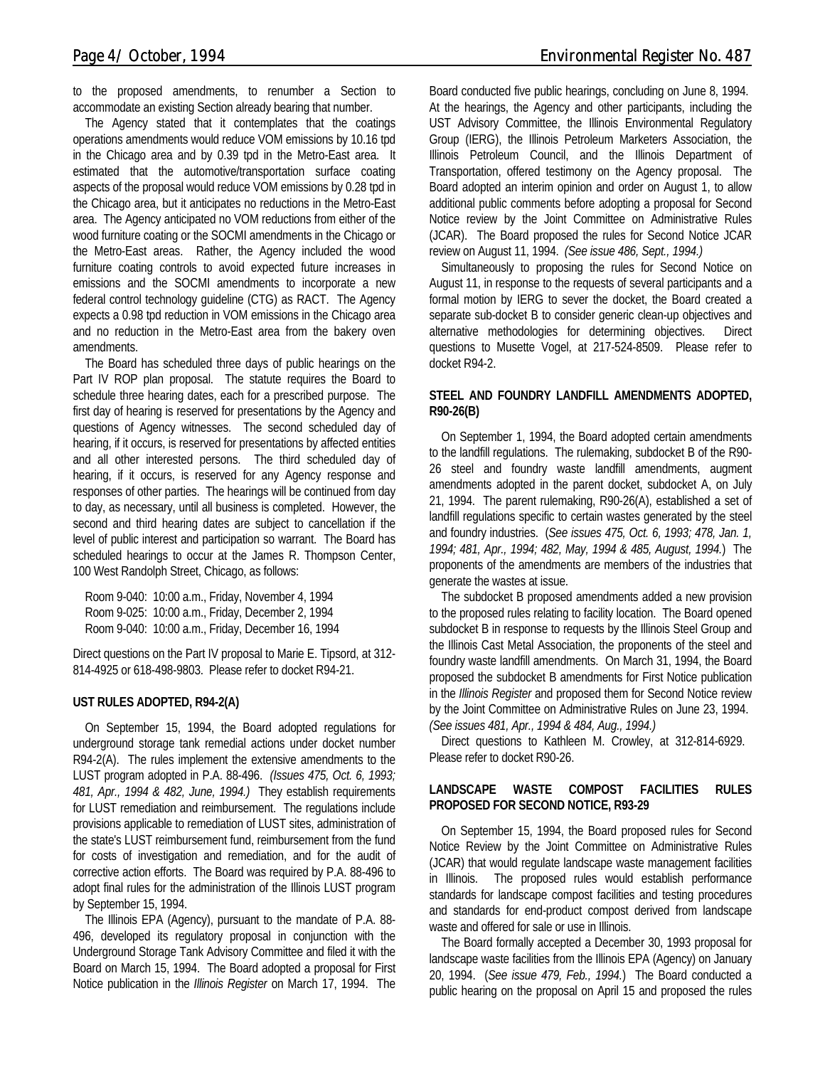to the proposed amendments, to renumber a Section to accommodate an existing Section already bearing that number.

The Agency stated that it contemplates that the coatings operations amendments would reduce VOM emissions by 10.16 tpd in the Chicago area and by 0.39 tpd in the Metro-East area. It estimated that the automotive/transportation surface coating aspects of the proposal would reduce VOM emissions by 0.28 tpd in the Chicago area, but it anticipates no reductions in the Metro-East area. The Agency anticipated no VOM reductions from either of the wood furniture coating or the SOCMI amendments in the Chicago or the Metro-East areas. Rather, the Agency included the wood furniture coating controls to avoid expected future increases in emissions and the SOCMI amendments to incorporate a new federal control technology guideline (CTG) as RACT. The Agency expects a 0.98 tpd reduction in VOM emissions in the Chicago area and no reduction in the Metro-East area from the bakery oven amendments.

The Board has scheduled three days of public hearings on the Part IV ROP plan proposal. The statute requires the Board to schedule three hearing dates, each for a prescribed purpose. The first day of hearing is reserved for presentations by the Agency and questions of Agency witnesses. The second scheduled day of hearing, if it occurs, is reserved for presentations by affected entities and all other interested persons. The third scheduled day of hearing, if it occurs, is reserved for any Agency response and responses of other parties. The hearings will be continued from day to day, as necessary, until all business is completed. However, the second and third hearing dates are subject to cancellation if the level of public interest and participation so warrant. The Board has scheduled hearings to occur at the James R. Thompson Center, 100 West Randolph Street, Chicago, as follows:

Room 9-040: 10:00 a.m., Friday, November 4, 1994 Room 9-025: 10:00 a.m., Friday, December 2, 1994 Room 9-040: 10:00 a.m., Friday, December 16, 1994

Direct questions on the Part IV proposal to Marie E. Tipsord, at 312- 814-4925 or 618-498-9803. Please refer to docket R94-21.

#### **UST RULES ADOPTED, R94-2(A)**

On September 15, 1994, the Board adopted regulations for underground storage tank remedial actions under docket number R94-2(A). The rules implement the extensive amendments to the LUST program adopted in P.A. 88-496. *(Issues 475, Oct. 6, 1993; 481, Apr., 1994 & 482, June, 1994.)* They establish requirements for LUST remediation and reimbursement. The regulations include provisions applicable to remediation of LUST sites, administration of the state's LUST reimbursement fund, reimbursement from the fund for costs of investigation and remediation, and for the audit of corrective action efforts. The Board was required by P.A. 88-496 to adopt final rules for the administration of the Illinois LUST program by September 15, 1994.

The Illinois EPA (Agency), pursuant to the mandate of P.A. 88- 496, developed its regulatory proposal in conjunction with the Underground Storage Tank Advisory Committee and filed it with the Board on March 15, 1994. The Board adopted a proposal for First Notice publication in the *Illinois Register* on March 17, 1994. The Board conducted five public hearings, concluding on June 8, 1994. At the hearings, the Agency and other participants, including the UST Advisory Committee, the Illinois Environmental Regulatory Group (IERG), the Illinois Petroleum Marketers Association, the Illinois Petroleum Council, and the Illinois Department of Transportation, offered testimony on the Agency proposal. The Board adopted an interim opinion and order on August 1, to allow additional public comments before adopting a proposal for Second Notice review by the Joint Committee on Administrative Rules (JCAR). The Board proposed the rules for Second Notice JCAR review on August 11, 1994. *(See issue 486, Sept., 1994.)*

Simultaneously to proposing the rules for Second Notice on August 11, in response to the requests of several participants and a formal motion by IERG to sever the docket, the Board created a separate sub-docket B to consider generic clean-up objectives and alternative methodologies for determining objectives. Direct questions to Musette Vogel, at 217-524-8509. Please refer to docket R94-2.

#### **STEEL AND FOUNDRY LANDFILL AMENDMENTS ADOPTED, R90-26(B)**

On September 1, 1994, the Board adopted certain amendments to the landfill regulations. The rulemaking, subdocket B of the R90- 26 steel and foundry waste landfill amendments, augment amendments adopted in the parent docket, subdocket A, on July 21, 1994. The parent rulemaking, R90-26(A), established a set of landfill regulations specific to certain wastes generated by the steel and foundry industries. (*See issues 475, Oct. 6, 1993; 478, Jan. 1, 1994; 481, Apr., 1994; 482, May, 1994 & 485, August, 1994.*) The proponents of the amendments are members of the industries that generate the wastes at issue.

The subdocket B proposed amendments added a new provision to the proposed rules relating to facility location. The Board opened subdocket B in response to requests by the Illinois Steel Group and the Illinois Cast Metal Association, the proponents of the steel and foundry waste landfill amendments. On March 31, 1994, the Board proposed the subdocket B amendments for First Notice publication in the *Illinois Register* and proposed them for Second Notice review by the Joint Committee on Administrative Rules on June 23, 1994. *(See issues 481, Apr., 1994 & 484, Aug., 1994.)*

Direct questions to Kathleen M. Crowley, at 312-814-6929. Please refer to docket R90-26.

#### **LANDSCAPE WASTE COMPOST FACILITIES RULES PROPOSED FOR SECOND NOTICE, R93-29**

On September 15, 1994, the Board proposed rules for Second Notice Review by the Joint Committee on Administrative Rules (JCAR) that would regulate landscape waste management facilities in Illinois. The proposed rules would establish performance standards for landscape compost facilities and testing procedures and standards for end-product compost derived from landscape waste and offered for sale or use in Illinois.

The Board formally accepted a December 30, 1993 proposal for landscape waste facilities from the Illinois EPA (Agency) on January 20, 1994. (*See issue 479, Feb., 1994.*) The Board conducted a public hearing on the proposal on April 15 and proposed the rules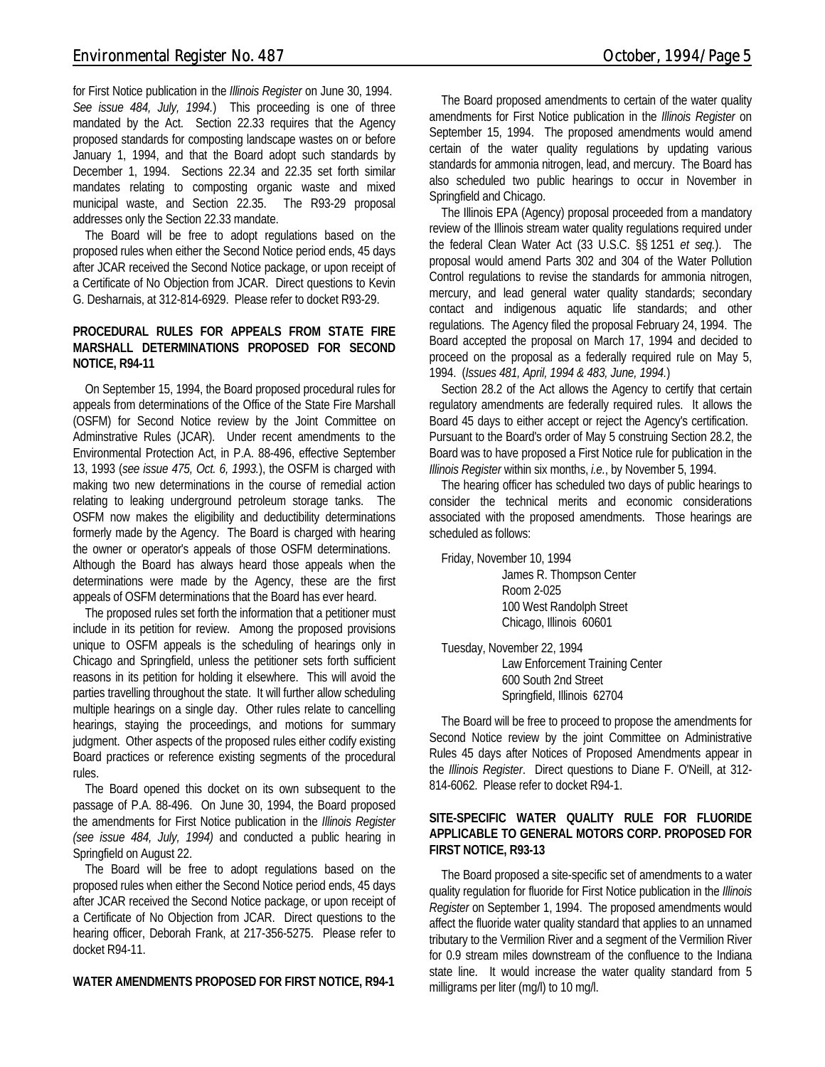for First Notice publication in the *Illinois Register* on June 30, 1994. *See issue 484, July, 1994.*) This proceeding is one of three mandated by the Act. Section 22.33 requires that the Agency proposed standards for composting landscape wastes on or before January 1, 1994, and that the Board adopt such standards by December 1, 1994. Sections 22.34 and 22.35 set forth similar mandates relating to composting organic waste and mixed municipal waste, and Section 22.35. The R93-29 proposal addresses only the Section 22.33 mandate.

The Board will be free to adopt regulations based on the proposed rules when either the Second Notice period ends, 45 days after JCAR received the Second Notice package, or upon receipt of a Certificate of No Objection from JCAR. Direct questions to Kevin G. Desharnais, at 312-814-6929. Please refer to docket R93-29.

#### **PROCEDURAL RULES FOR APPEALS FROM STATE FIRE MARSHALL DETERMINATIONS PROPOSED FOR SECOND NOTICE, R94-11**

On September 15, 1994, the Board proposed procedural rules for appeals from determinations of the Office of the State Fire Marshall (OSFM) for Second Notice review by the Joint Committee on Adminstrative Rules (JCAR). Under recent amendments to the Environmental Protection Act, in P.A. 88-496, effective September 13, 1993 (*see issue 475, Oct. 6, 1993.*), the OSFM is charged with making two new determinations in the course of remedial action relating to leaking underground petroleum storage tanks. The OSFM now makes the eligibility and deductibility determinations formerly made by the Agency. The Board is charged with hearing the owner or operator's appeals of those OSFM determinations. Although the Board has always heard those appeals when the determinations were made by the Agency, these are the first appeals of OSFM determinations that the Board has ever heard.

The proposed rules set forth the information that a petitioner must include in its petition for review. Among the proposed provisions unique to OSFM appeals is the scheduling of hearings only in Chicago and Springfield, unless the petitioner sets forth sufficient reasons in its petition for holding it elsewhere. This will avoid the parties travelling throughout the state. It will further allow scheduling multiple hearings on a single day. Other rules relate to cancelling hearings, staying the proceedings, and motions for summary judgment. Other aspects of the proposed rules either codify existing Board practices or reference existing segments of the procedural rules.

The Board opened this docket on its own subsequent to the passage of P.A. 88-496. On June 30, 1994, the Board proposed the amendments for First Notice publication in the *Illinois Register (see issue 484, July, 1994)* and conducted a public hearing in Springfield on August 22.

The Board will be free to adopt regulations based on the proposed rules when either the Second Notice period ends, 45 days after JCAR received the Second Notice package, or upon receipt of a Certificate of No Objection from JCAR. Direct questions to the hearing officer, Deborah Frank, at 217-356-5275. Please refer to docket R94-11.

#### **WATER AMENDMENTS PROPOSED FOR FIRST NOTICE, R94-1**

The Board proposed amendments to certain of the water quality amendments for First Notice publication in the *Illinois Register* on September 15, 1994. The proposed amendments would amend certain of the water quality regulations by updating various standards for ammonia nitrogen, lead, and mercury. The Board has also scheduled two public hearings to occur in November in Springfield and Chicago.

The Illinois EPA (Agency) proposal proceeded from a mandatory review of the Illinois stream water quality regulations required under the federal Clean Water Act (33 U.S.C. §§ 1251 *et seq.*). The proposal would amend Parts 302 and 304 of the Water Pollution Control regulations to revise the standards for ammonia nitrogen, mercury, and lead general water quality standards; secondary contact and indigenous aquatic life standards; and other regulations. The Agency filed the proposal February 24, 1994. The Board accepted the proposal on March 17, 1994 and decided to proceed on the proposal as a federally required rule on May 5, 1994. (*Issues 481, April, 1994 & 483, June, 1994.*)

Section 28.2 of the Act allows the Agency to certify that certain regulatory amendments are federally required rules. It allows the Board 45 days to either accept or reject the Agency's certification. Pursuant to the Board's order of May 5 construing Section 28.2, the Board was to have proposed a First Notice rule for publication in the *Illinois Register* within six months, *i.e.*, by November 5, 1994.

The hearing officer has scheduled two days of public hearings to consider the technical merits and economic considerations associated with the proposed amendments. Those hearings are scheduled as follows:

Friday, November 10, 1994

James R. Thompson Center Room 2-025 100 West Randolph Street Chicago, Illinois 60601

Tuesday, November 22, 1994 Law Enforcement Training Center 600 South 2nd Street Springfield, Illinois 62704

The Board will be free to proceed to propose the amendments for Second Notice review by the joint Committee on Administrative Rules 45 days after Notices of Proposed Amendments appear in the *Illinois Register*. Direct questions to Diane F. O'Neill, at 312- 814-6062. Please refer to docket R94-1.

#### **SITE-SPECIFIC WATER QUALITY RULE FOR FLUORIDE APPLICABLE TO GENERAL MOTORS CORP. PROPOSED FOR FIRST NOTICE, R93-13**

The Board proposed a site-specific set of amendments to a water quality regulation for fluoride for First Notice publication in the *Illinois Register* on September 1, 1994. The proposed amendments would affect the fluoride water quality standard that applies to an unnamed tributary to the Vermilion River and a segment of the Vermilion River for 0.9 stream miles downstream of the confluence to the Indiana state line. It would increase the water quality standard from 5 milligrams per liter (mg/l) to 10 mg/l.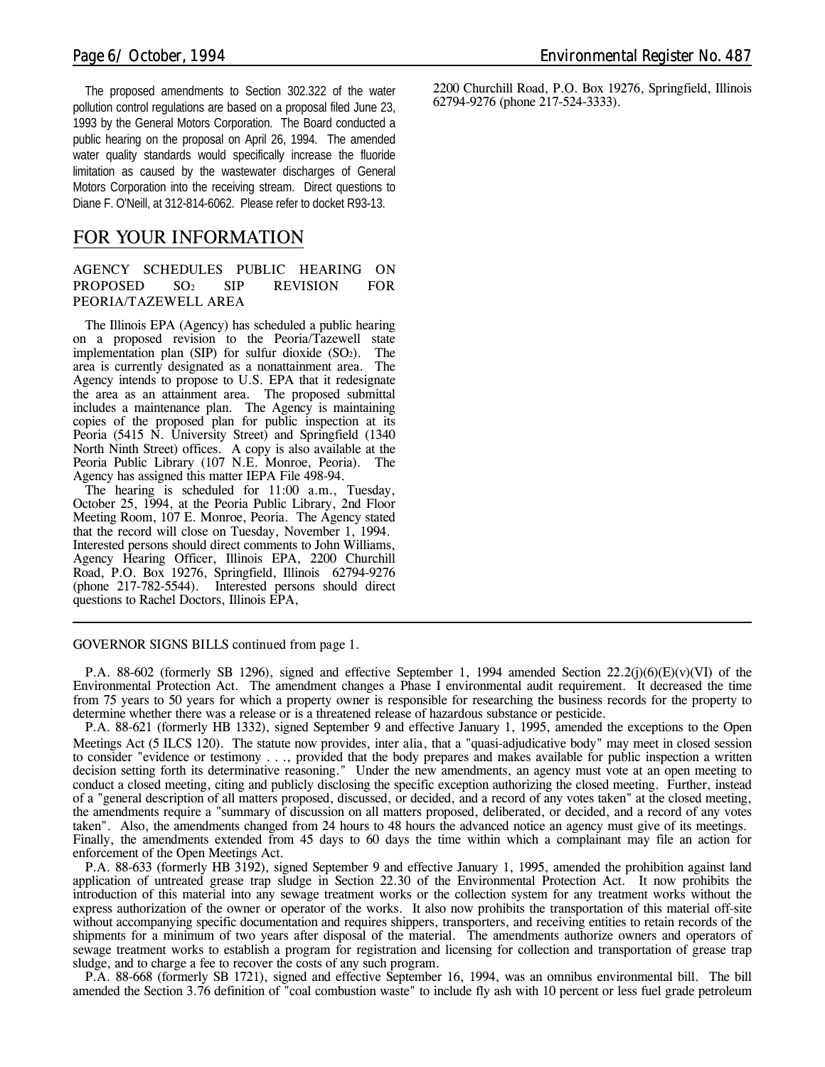The proposed amendments to Section 302.322 of the water pollution control regulations are based on a proposal filed June 23, 1993 by the General Motors Corporation. The Board conducted a public hearing on the proposal on April 26, 1994. The amended water quality standards would specifically increase the fluoride limitation as caused by the wastewater discharges of General Motors Corporation into the receiving stream. Direct questions to Diane F. O'Neill, at 312-814-6062. Please refer to docket R93-13.

### *FOR YOUR INFORMATION*

#### **AGENCY SCHEDULES PUBLIC HEARING ON PROPOSED SO2 SIP REVISION FOR PEORIA/TAZEWELL AREA**

The Illinois EPA (Agency) has scheduled a public hearing on a proposed revision to the Peoria/Tazewell state implementation plan  $(SIP)$  for sulfur dioxide  $(SO<sub>2</sub>)$ . The area is currently designated as a nonattainment area. The Agency intends to propose to U.S. EPA that it redesignate the area as an attainment area. The proposed submittal includes a maintenance plan. The Agency is maintaining copies of the proposed plan for public inspection at its Peoria (5415 N. University Street) and Springfield (1340 North Ninth Street) offices. A copy is also available at the Peoria Public Library (107 N.E. Monroe, Peoria). The Agency has assigned this matter IEPA File 498-94.

The hearing is scheduled for 11:00 a.m., Tuesday, October 25, 1994, at the Peoria Public Library, 2nd Floor Meeting Room, 107 E. Monroe, Peoria. The Agency stated that the record will close on Tuesday, November 1, 1994. Interested persons should direct comments to John Williams, Agency Hearing Officer, Illinois EPA, 2200 Churchill Road, P.O. Box 19276, Springfield, Illinois 62794-9276 (phone 217-782-5544). Interested persons should direct questions to Rachel Doctors, Illinois EPA,

#### *GOVERNOR SIGNS BILLS continued from page 1.*

P.A. 88-602 (formerly SB 1296), signed and effective September 1, 1994 amended Section  $22.2(j)(6)(E)(v)(V)$  of the Environmental Protection Act. The amendment changes a Phase I environmental audit requirement. It decreased the time from 75 years to 50 years for which a property owner is responsible for researching the business records for the property to determine whether there was a release or is a threatened release of hazardous substance or pesticide.

P.A. 88-621 (formerly HB 1332), signed September 9 and effective January 1, 1995, amended the exceptions to the Open Meetings Act (5 ILCS 120). The statute now provides, *inter alia*, that a "quasi-adjudicative body" may meet in closed session to consider "evidence or testimony . . ., provided that the body prepares and makes available for public inspection a written decision setting forth its determinative reasoning." Under the new amendments, an agency must vote at an open meeting to conduct a closed meeting, citing and publicly disclosing the specific exception authorizing the closed meeting. Further, instead of a "general description of all matters proposed, discussed, or decided, and a record of any votes taken" at the closed meeting, the amendments require a "summary of discussion on all matters proposed, deliberated, or decided, and a record of any votes taken". Also, the amendments changed from 24 hours to 48 hours the advanced notice an agency must give of its meetings. Finally, the amendments extended from 45 days to 60 days the time within which a complainant may file an action for enforcement of the Open Meetings Act.

P.A. 88-633 (formerly HB 3192), signed September 9 and effective January 1, 1995, amended the prohibition against land application of untreated grease trap sludge in Section 22.30 of the Environmental Protection Act. It now prohibits the introduction of this material into any sewage treatment works or the collection system for any treatment works without the express authorization of the owner or operator of the works. It also now prohibits the transportation of this material off-site without accompanying specific documentation and requires shippers, transporters, and receiving entities to retain records of the shipments for a minimum of two years after disposal of the material. The amendments authorize owners and operators of sewage treatment works to establish a program for registration and licensing for collection and transportation of grease trap sludge, and to charge a fee to recover the costs of any such program.

P.A. 88-668 (formerly SB 1721), signed and effective September 16, 1994, was an omnibus environmental bill. The bill amended the Section 3.76 definition of "coal combustion waste" to include fly ash with 10 percent or less fuel grade petroleum

 2200 Churchill Road, P.O. Box 19276, Springfield, Illinois 62794-9276 (phone 217-524-3333).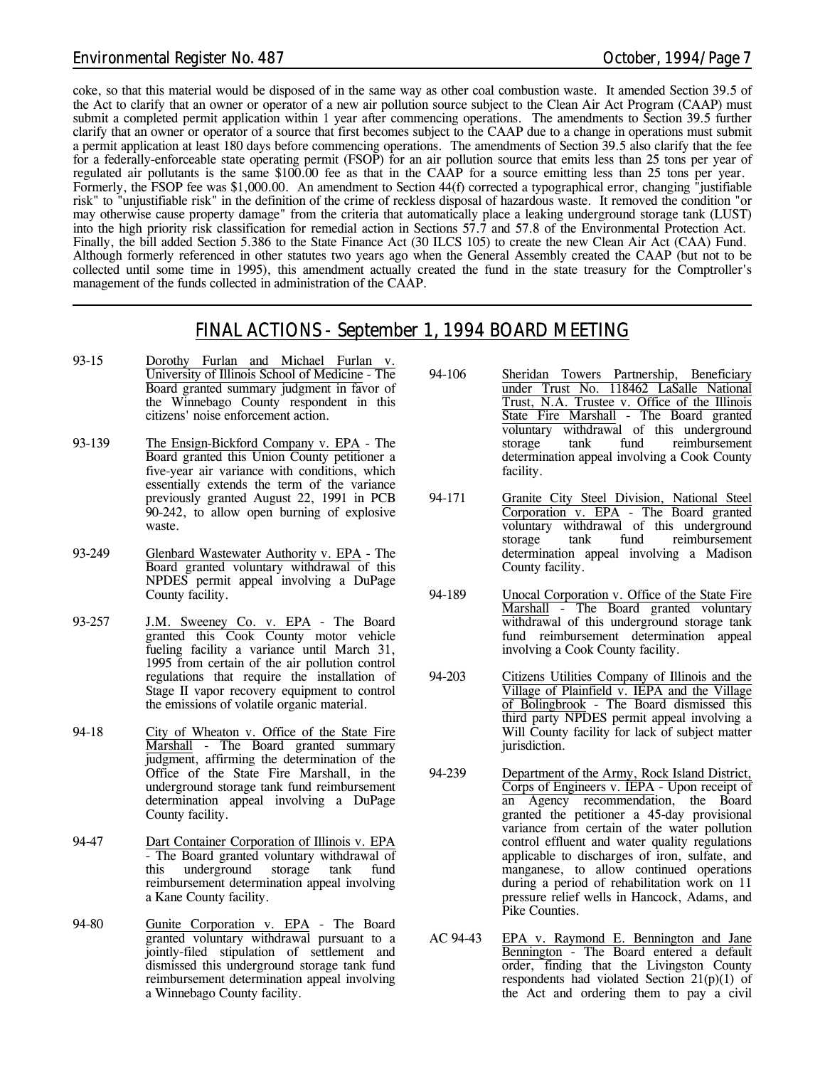#### *Environmental Register No. 487 October, 1994/Page 7*

coke, so that this material would be disposed of in the same way as other coal combustion waste. It amended Section 39.5 of the Act to clarify that an owner or operator of a new air pollution source subject to the Clean Air Act Program (CAAP) must submit a completed permit application within 1 year after commencing operations. The amendments to Section 39.5 further clarify that an owner or operator of a source that first becomes subject to the CAAP due to a change in operations must submit a permit application at least 180 days before commencing operations. The amendments of Section 39.5 also clarify that the fee for a federally-enforceable state operating permit (FSOP) for an air pollution source that emits less than 25 tons per year of regulated air pollutants is the same \$100.00 fee as that in the CAAP for a source emitting less than 25 tons per year. Formerly, the FSOP fee was \$1,000.00. An amendment to Section 44(f) corrected a typographical error, changing "justifiable risk" to "unjustifiable risk" in the definition of the crime of reckless disposal of hazardous waste. It removed the condition "or may otherwise cause property damage" from the criteria that automatically place a leaking underground storage tank (LUST) into the high priority risk classification for remedial action in Sections 57.7 and 57.8 of the Environmental Protection Act. Finally, the bill added Section 5.386 to the State Finance Act (30 ILCS 105) to create the new Clean Air Act (CAA) Fund. Although formerly referenced in other statutes two years ago when the General Assembly created the CAAP (but not to be collected until some time in 1995), this amendment actually created the fund in the state treasury for the Comptroller's management of the funds collected in administration of the CAAP.

## *FINAL ACTIONS - September 1, 1994 BOARD MEETING*

- 93-15 Dorothy Furlan and Michael Furlan v. University of Illinois School of Medicine - The Board granted summary judgment in favor of the Winnebago County respondent in this citizens' noise enforcement action.
- 93-139 The Ensign-Bickford Company v. EPA The Board granted this Union County petitioner a five-year air variance with conditions, which essentially extends the term of the variance previously granted August 22, 1991 in PCB 90-242, to allow open burning of explosive waste.
- 93-249 Glenbard Wastewater Authority v. EPA The Board granted voluntary withdrawal of this NPDES permit appeal involving a DuPage County facility.
- 93-257 J.M. Sweeney Co. v. EPA The Board granted this Cook County motor vehicle fueling facility a variance until March 31, 1995 from certain of the air pollution control regulations that require the installation of Stage II vapor recovery equipment to control the emissions of volatile organic material.
- 94-18 City of Wheaton v. Office of the State Fire Marshall - The Board granted summary judgment, affirming the determination of the Office of the State Fire Marshall, in the underground storage tank fund reimbursement determination appeal involving a DuPage County facility.
- 94-47 Dart Container Corporation of Illinois v. EPA - The Board granted voluntary withdrawal of this underground storage tank fund reimbursement determination appeal involving a Kane County facility.
- 94-80 Gunite Corporation v. EPA The Board granted voluntary withdrawal pursuant to a jointly-filed stipulation of settlement and dismissed this underground storage tank fund reimbursement determination appeal involving a Winnebago County facility.
- 94-106 Sheridan Towers Partnership, Beneficiary under Trust No. 118462 LaSalle National Trust, N.A. Trustee v. Office of the Illinois State Fire Marshall - The Board granted voluntary withdrawal of this underground storage tank fund reimbursement determination appeal involving a Cook County facility.
- 94-171 Granite City Steel Division, National Steel Corporation v. EPA - The Board granted voluntary withdrawal of this underground storage tank fund reimbursement determination appeal involving a Madison County facility.
- 94-189 Unocal Corporation v. Office of the State Fire Marshall - The Board granted voluntary withdrawal of this underground storage tank fund reimbursement determination appeal involving a Cook County facility.
- 94-203 Citizens Utilities Company of Illinois and the Village of Plainfield v. IEPA and the Village of Bolingbrook - The Board dismissed this third party NPDES permit appeal involving a Will County facility for lack of subject matter jurisdiction.
- 94-239 Department of the Army, Rock Island District, Corps of Engineers v. IEPA - Upon receipt of an Agency recommendation, the Board granted the petitioner a 45-day provisional variance from certain of the water pollution control effluent and water quality regulations applicable to discharges of iron, sulfate, and manganese, to allow continued operations during a period of rehabilitation work on 11 pressure relief wells in Hancock, Adams, and Pike Counties.
- AC 94-43 EPA v. Raymond E. Bennington and Jane Bennington - The Board entered a default order, finding that the Livingston County respondents had violated Section 21(p)(1) of the Act and ordering them to pay a civil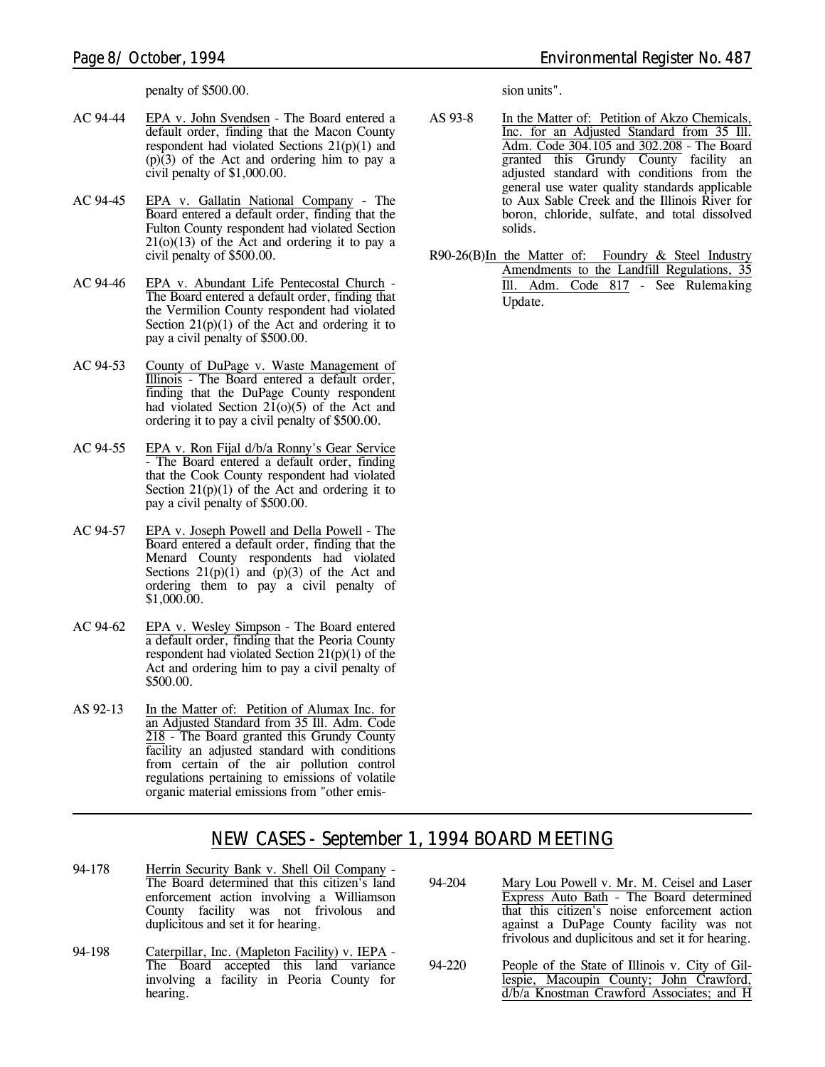penalty of \$500.00.

- AC 94-44 EPA v. John Svendsen The Board entered a default order, finding that the Macon County respondent had violated Sections 21(p)(1) and (p)(3) of the Act and ordering him to pay a civil penalty of \$1,000.00.
- AC 94-45 EPA v. Gallatin National Company The Board entered a default order, finding that the Fulton County respondent had violated Section  $21(0)(13)$  of the Act and ordering it to pay a civil penalty of \$500.00.
- AC 94-46 EPA v. Abundant Life Pentecostal Church The Board entered a default order, finding that the Vermilion County respondent had violated Section  $21(p)(1)$  of the Act and ordering it to pay a civil penalty of \$500.00.
- AC 94-53 County of DuPage v. Waste Management of Illinois - The Board entered a default order, finding that the DuPage County respondent had violated Section  $21(0)(5)$  of the Act and ordering it to pay a civil penalty of \$500.00.
- AC 94-55 EPA v. Ron Fijal d/b/a Ronny's Gear Service - The Board entered a default order, finding that the Cook County respondent had violated Section  $21(p)(1)$  of the Act and ordering it to pay a civil penalty of \$500.00.
- AC 94-57 EPA v. Joseph Powell and Della Powell The Board entered a default order, finding that the Menard County respondents had violated Sections  $21(p)(1)$  and  $(p)(3)$  of the Act and ordering them to pay a civil penalty of \$1,000.00.
- AC 94-62 EPA v. Wesley Simpson The Board entered a default order, finding that the Peoria County respondent had violated Section 21(p)(1) of the Act and ordering him to pay a civil penalty of \$500.00.
- AS 92-13 In the Matter of: Petition of Alumax Inc. for an Adjusted Standard from 35 Ill. Adm. Code 218 - The Board granted this Grundy County facility an adjusted standard with conditions from certain of the air pollution control regulations pertaining to emissions of volatile organic material emissions from "other emis-

sion units".

- AS 93-8 In the Matter of: Petition of Akzo Chemicals, Inc. for an Adjusted Standard from 35 Ill. Adm. Code 304.105 and 302.208 - The Board granted this Grundy County facility an adjusted standard with conditions from the general use water quality standards applicable to Aux Sable Creek and the Illinois River for boron, chloride, sulfate, and total dissolved solids.
- R90-26(B)In the Matter of: Foundry & Steel Industry Amendments to the Landfill Regulations, 35 Ill. Adm. Code 817 - *See Rulemaking Update.*

## *NEW CASES - September 1, 1994 BOARD MEETING*

- 94-178 Herrin Security Bank v. Shell Oil Company The Board determined that this citizen's land enforcement action involving a Williamson County facility was not frivolous and duplicitous and set it for hearing.
- 94-198 Caterpillar, Inc. (Mapleton Facility) v. IEPA The Board accepted this land variance involving a facility in Peoria County for hearing.
- 94-204 Mary Lou Powell v. Mr. M. Ceisel and Laser Express Auto Bath - The Board determined that this citizen's noise enforcement action against a DuPage County facility was not frivolous and duplicitous and set it for hearing.
- 94-220 People of the State of Illinois v. City of Gillespie, Macoupin County; John Crawford, d/b/a Knostman Crawford Associates; and H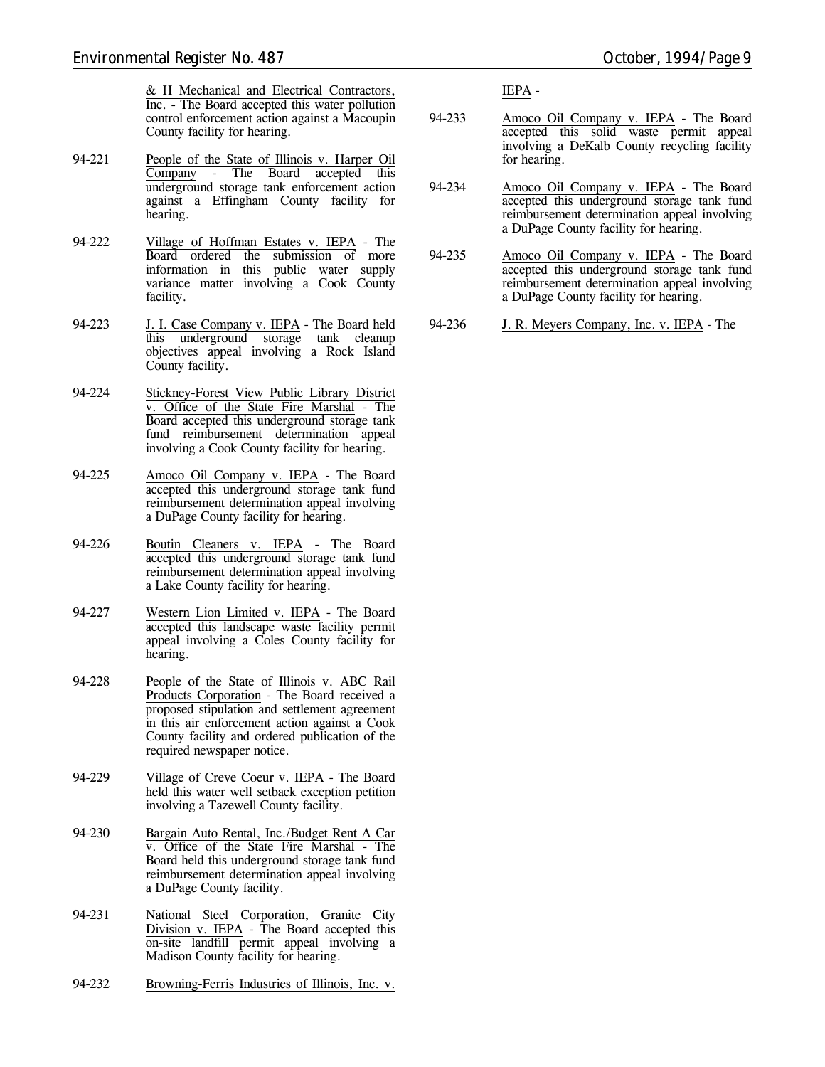& H Mechanical and Electrical Contractors, Inc. - The Board accepted this water pollution control enforcement action against a Macoupin County facility for hearing.

- 94-221 People of the State of Illinois v. Harper Oil Company - The Board accepted this underground storage tank enforcement action against a Effingham County facility for hearing.
- 94-222 Village of Hoffman Estates v. IEPA The Board ordered the submission of more information in this public water supply variance matter involving a Cook County facility.
- 94-223 J. I. Case Company v. IEPA The Board held this underground storage tank cleanup objectives appeal involving a Rock Island County facility.
- 94-224 Stickney-Forest View Public Library District v. Office of the State Fire Marshal - The Board accepted this underground storage tank fund reimbursement determination appeal involving a Cook County facility for hearing.
- 94-225 Amoco Oil Company v. IEPA The Board accepted this underground storage tank fund reimbursement determination appeal involving a DuPage County facility for hearing.
- 94-226 Boutin Cleaners v. IEPA The Board accepted this underground storage tank fund reimbursement determination appeal involving a Lake County facility for hearing.
- 94-227 Western Lion Limited v. IEPA The Board accepted this landscape waste facility permit appeal involving a Coles County facility for hearing.
- 94-228 People of the State of Illinois v. ABC Rail Products Corporation - The Board received a proposed stipulation and settlement agreement in this air enforcement action against a Cook County facility and ordered publication of the required newspaper notice.
- 94-229 Village of Creve Coeur v. IEPA The Board held this water well setback exception petition involving a Tazewell County facility.
- 94-230 Bargain Auto Rental, Inc./Budget Rent A Car Office of the State Fire Marshal - The Board held this underground storage tank fund reimbursement determination appeal involving a DuPage County facility.
- 94-231 National Steel Corporation, Granite City Division v. IEPA - The Board accepted this on-site landfill permit appeal involving a Madison County facility for hearing.
- 94-232 Browning-Ferris Industries of Illinois, Inc. v.

IEPA -

- 94-233 Amoco Oil Company v. IEPA The Board accepted this solid waste permit appeal involving a DeKalb County recycling facility for hearing.
- 94-234 Amoco Oil Company v. IEPA The Board accepted this underground storage tank fund reimbursement determination appeal involving a DuPage County facility for hearing.
- 94-235 Amoco Oil Company v. IEPA The Board accepted this underground storage tank fund reimbursement determination appeal involving a DuPage County facility for hearing.

94-236 J. R. Meyers Company, Inc. v. IEPA - The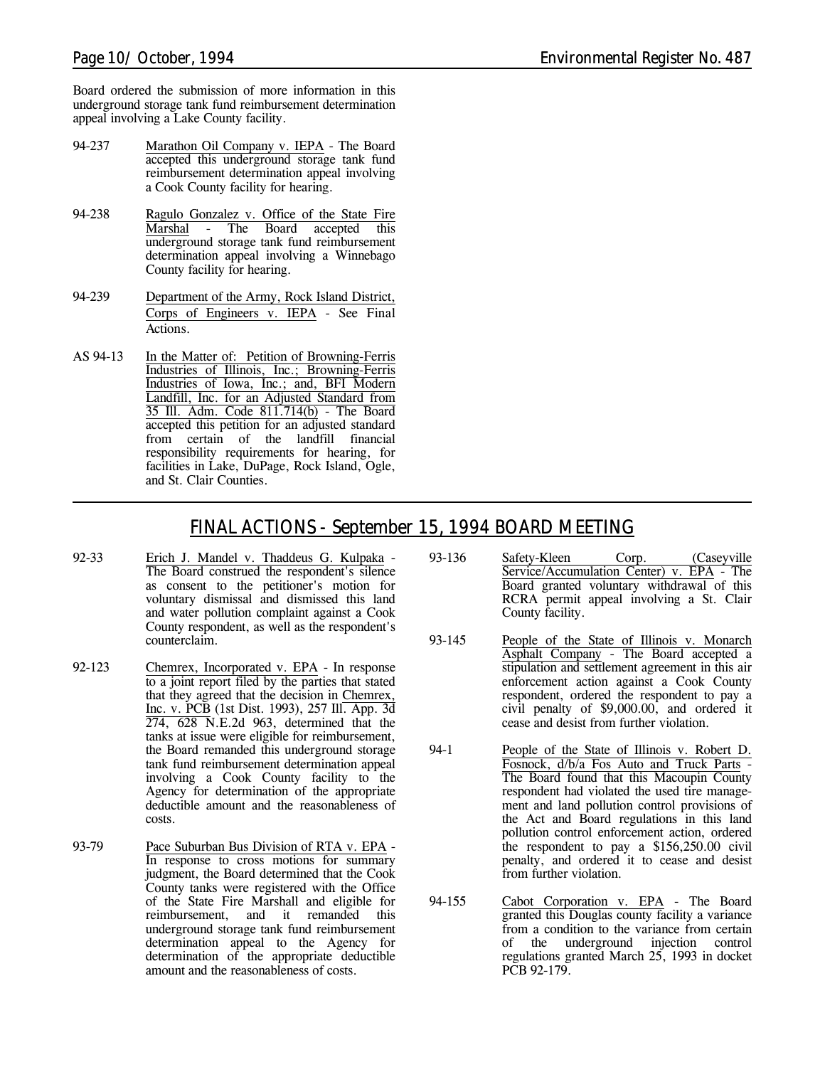Board ordered the submission of more information in this underground storage tank fund reimbursement determination appeal involving a Lake County facility.

- 94-237 Marathon Oil Company v. IEPA The Board accepted this underground storage tank fund reimbursement determination appeal involving a Cook County facility for hearing.
- 94-238 Ragulo Gonzalez v. Office of the State Fire<br>Marshal The Board accepted this The Board accepted this underground storage tank fund reimbursement determination appeal involving a Winnebago County facility for hearing.
- 94-239 Department of the Army, Rock Island District, Corps of Engineers v. IEPA - *See Final Actions.*
- AS 94-13 In the Matter of: Petition of Browning-Ferris Industries of Illinois, Inc.; Browning-Ferris Industries of Iowa, Inc.; and, BFI Modern Landfill, Inc. for an Adjusted Standard from 35 Ill. Adm. Code 811.714(b) - The Board accepted this petition for an adjusted standard from certain of the landfill financial responsibility requirements for hearing, for facilities in Lake, DuPage, Rock Island, Ogle, and St. Clair Counties.

## *FINAL ACTIONS - September 15, 1994 BOARD MEETING*

- 92-33 Erich J. Mandel v. Thaddeus G. Kulpaka The Board construed the respondent's silence as consent to the petitioner's motion for voluntary dismissal and dismissed this land and water pollution complaint against a Cook County respondent, as well as the respondent's counterclaim.
- 92-123 Chemrex, Incorporated v. EPA In response to a joint report filed by the parties that stated that they agreed that the decision in Chemrex, Inc. v. PCB (1st Dist. 1993), 257 Ill. App. 3d 274, 628 N.E.2d 963, determined that the tanks at issue were eligible for reimbursement, the Board remanded this underground storage tank fund reimbursement determination appeal involving a Cook County facility to the Agency for determination of the appropriate deductible amount and the reasonableness of costs.
- 93-79 Pace Suburban Bus Division of RTA v. EPA In response to cross motions for summary judgment, the Board determined that the Cook County tanks were registered with the Office of the State Fire Marshall and eligible for reimbursement, and it remanded this underground storage tank fund reimbursement determination appeal to the Agency for determination of the appropriate deductible amount and the reasonableness of costs.
- 93-136 Safety-Kleen Corp. (Caseyville Service/Accumulation Center) v. EPA - The Board granted voluntary withdrawal of this RCRA permit appeal involving a St. Clair County facility.
- 93-145 People of the State of Illinois v. Monarch Asphalt Company - The Board accepted a stipulation and settlement agreement in this air enforcement action against a Cook County respondent, ordered the respondent to pay a civil penalty of \$9,000.00, and ordered it cease and desist from further violation.
- 94-1 People of the State of Illinois v. Robert D. Fosnock, d/b/a Fos Auto and Truck Parts - The Board found that this Macoupin County respondent had violated the used tire management and land pollution control provisions of the Act and Board regulations in this land pollution control enforcement action, ordered the respondent to pay a \$156,250.00 civil penalty, and ordered it to cease and desist from further violation.
- 94-155 Cabot Corporation v. EPA The Board granted this Douglas county facility a variance from a condition to the variance from certain of the underground injection control regulations granted March 25, 1993 in docket PCB 92-179.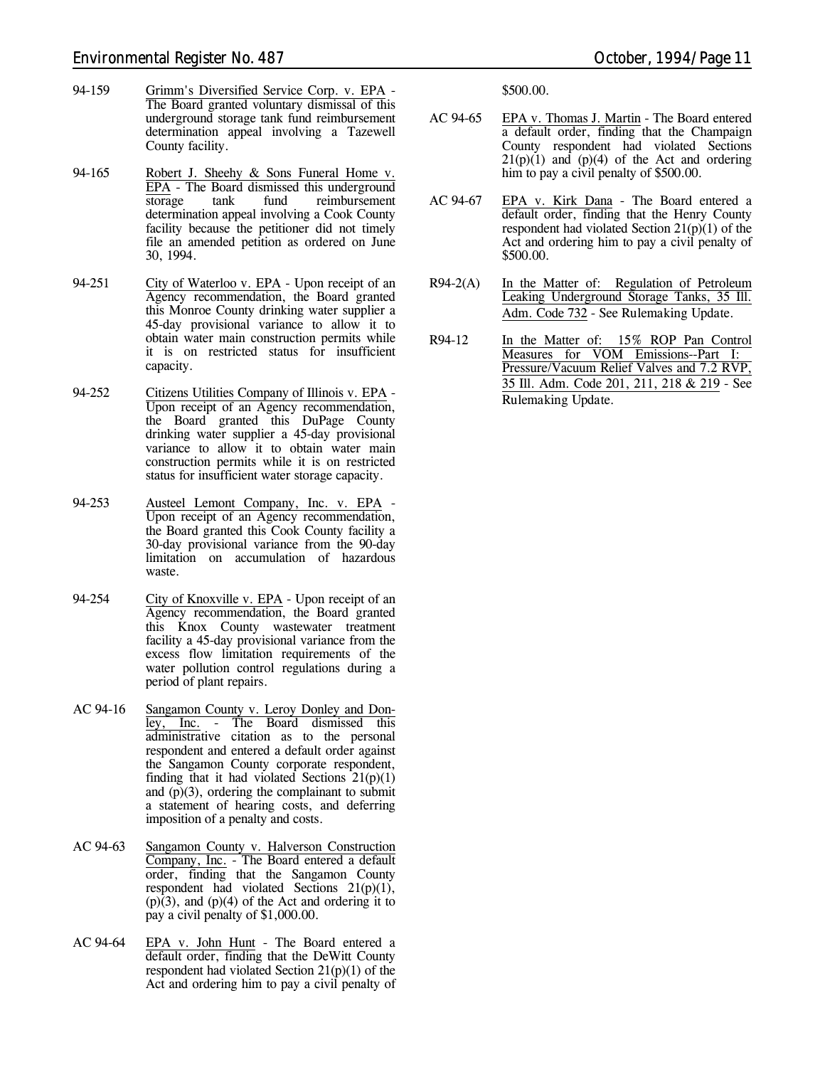- 94-159 Grimm's Diversified Service Corp. v. EPA The Board granted voluntary dismissal of this underground storage tank fund reimbursement determination appeal involving a Tazewell County facility.
- 94-165 Robert J. Sheehy & Sons Funeral Home v. EPA - The Board dismissed this underground<br>storage tank fund reimbursement reimbursement determination appeal involving a Cook County facility because the petitioner did not timely file an amended petition as ordered on June 30, 1994.
- 94-251 City of Waterloo v. EPA Upon receipt of an Agency recommendation, the Board granted this Monroe County drinking water supplier a 45-day provisional variance to allow it to obtain water main construction permits while it is on restricted status for insufficient capacity.
- 94-252 Citizens Utilities Company of Illinois v. EPA Upon receipt of an Agency recommendation, the Board granted this DuPage County drinking water supplier a 45-day provisional variance to allow it to obtain water main construction permits while it is on restricted status for insufficient water storage capacity.
- 94-253 Austeel Lemont Company, Inc. v. EPA Upon receipt of an Agency recommendation, the Board granted this Cook County facility a 30-day provisional variance from the 90-day limitation on accumulation of hazardous waste.
- 94-254 City of Knoxville v. EPA Upon receipt of an Agency recommendation, the Board granted this Knox County wastewater treatment facility a 45-day provisional variance from the excess flow limitation requirements of the water pollution control regulations during a period of plant repairs.
- AC 94-16 Sangamon County v. Leroy Donley and Donley, Inc. - The Board dismissed this administrative citation as to the personal respondent and entered a default order against the Sangamon County corporate respondent, finding that it had violated Sections  $21(p)(1)$ and  $(p)(3)$ , ordering the complainant to submit a statement of hearing costs, and deferring imposition of a penalty and costs.
- AC 94-63 Sangamon County v. Halverson Construction Company, Inc. - The Board entered a default order, finding that the Sangamon County respondent had violated Sections  $21(p)(1)$ ,  $(p)(3)$ , and  $(p)(4)$  of the Act and ordering it to pay a civil penalty of \$1,000.00.
- AC 94-64 EPA v. John Hunt The Board entered a default order, finding that the DeWitt County respondent had violated Section  $21(p)(1)$  of the Act and ordering him to pay a civil penalty of

\$500.00.

- AC 94-65 EPA v. Thomas J. Martin The Board entered a default order, finding that the Champaign County respondent had violated Sections  $21(p)(1)$  and  $(p)(4)$  of the Act and ordering him to pay a civil penalty of \$500.00.
- AC 94-67 EPA v. Kirk Dana The Board entered a default order, finding that the Henry County respondent had violated Section  $21(p)(1)$  of the Act and ordering him to pay a civil penalty of \$500.00.
- R94-2(A) In the Matter of: Regulation of Petroleum Leaking Underground Storage Tanks, 35 Ill. Adm. Code 732 - *See Rulemaking Update.*
- R94-12 In the Matter of: 15% ROP Pan Control Measures for VOM Emissions--Part I: Pressure/Vacuum Relief Valves and 7.2 RVP, 35 Ill. Adm. Code 201, 211, 218 & 219 - *See Rulemaking Update.*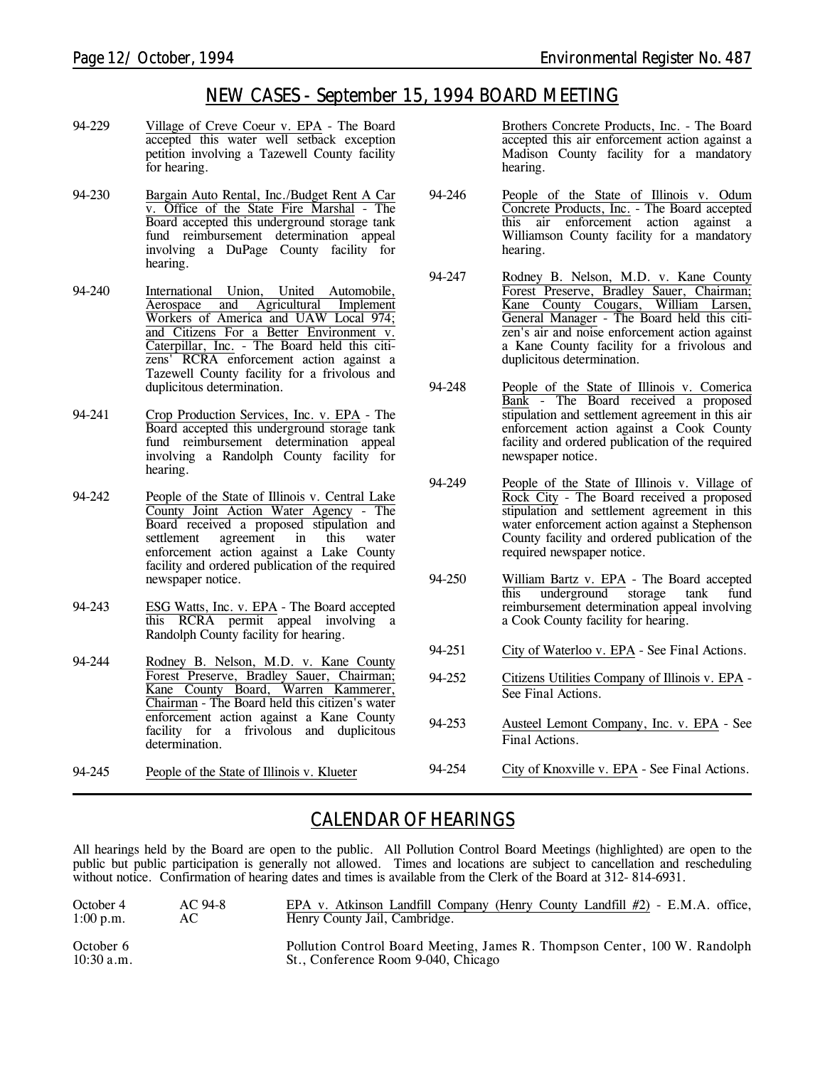## *NEW CASES - September 15, 1994 BOARD MEETING*

- 94-229 Village of Creve Coeur v. EPA The Board accepted this water well setback exception petition involving a Tazewell County facility for hearing.
- 94-230 Bargain Auto Rental, Inc./Budget Rent A Car v. Office of the State Fire Marshal - The Board accepted this underground storage tank fund reimbursement determination appeal involving a DuPage County facility for hearing.
- 94-240 International Union, United Automobile, Aerospace and Agricultural Implement Workers of America and UAW Local 974; and Citizens For a Better Environment v. Caterpillar, Inc. - The Board held this citizens' RCRA enforcement action against a Tazewell County facility for a frivolous and duplicitous determination.
- 94-241 Crop Production Services, Inc. v. EPA The Board accepted this underground storage tank fund reimbursement determination appeal involving a Randolph County facility for hearing.
- 94-242 People of the State of Illinois v. Central Lake County Joint Action Water Agency - The Board received a proposed stipulation and agreement in this water enforcement action against a Lake County facility and ordered publication of the required newspaper notice.
- 94-243 ESG Watts, Inc. v. EPA The Board accepted this RCRA permit appeal involving a Randolph County facility for hearing.
- 94-244 Rodney B. Nelson, M.D. v. Kane County Forest Preserve, Bradley Sauer, Chairman; Kane County Board, Warren Kammerer, Chairman - The Board held this citizen's water enforcement action against a Kane County facility for a frivolous and duplicitous determination.

94-245 People of the State of Illinois v. Klueter

Brothers Concrete Products, Inc. - The Board accepted this air enforcement action against a Madison County facility for a mandatory hearing.

- 94-246 People of the State of Illinois v. Odum Concrete Products, Inc. - The Board accepted this air enforcement action against a Williamson County facility for a mandatory hearing.
- 94-247 Rodney B. Nelson, M.D. v. Kane County Forest Preserve, Bradley Sauer, Chairman; Kane County Cougars, William Larsen, General Manager - The Board held this citizen's air and noise enforcement action against a Kane County facility for a frivolous and duplicitous determination.
- 94-248 People of the State of Illinois v. Comerica Bank - The Board received a proposed stipulation and settlement agreement in this air enforcement action against a Cook County facility and ordered publication of the required newspaper notice.
- 94-249 People of the State of Illinois v. Village of Rock City - The Board received a proposed stipulation and settlement agreement in this water enforcement action against a Stephenson County facility and ordered publication of the required newspaper notice.
- 94-250 William Bartz v. EPA The Board accepted this underground storage tank fund reimbursement determination appeal involving a Cook County facility for hearing.
- 94-251 City of Waterloo v. EPA *See Final Actions.*
- 94-252 Citizens Utilities Company of Illinois v. EPA *See Final Actions.*
- 94-253 Austeel Lemont Company, Inc. v. EPA *See Final Actions.*
- 94-254 City of Knoxville v. EPA *See Final Actions.*

## *CALENDAR OF HEARINGS*

All hearings held by the Board are open to the public. All Pollution Control Board Meetings (highlighted) are open to the public but public participation is generally not allowed. Times and locations are subject to cancellation and rescheduling without notice. Confirmation of hearing dates and times is available from the Clerk of the Board at 312-814-6931.

| October 4                 | $AC94-8$ | EPA v. Atkinson Landfill Company (Henry County Landfill $#2$ ) - E.M.A. office,                                   |
|---------------------------|----------|-------------------------------------------------------------------------------------------------------------------|
| $1:00$ p.m.               | AC.      | Henry County Jail, Cambridge.                                                                                     |
| October 6<br>$10:30$ a.m. |          | Pollution Control Board Meeting, James R. Thompson Center, 100 W. Randolph<br>St., Conference Room 9-040, Chicago |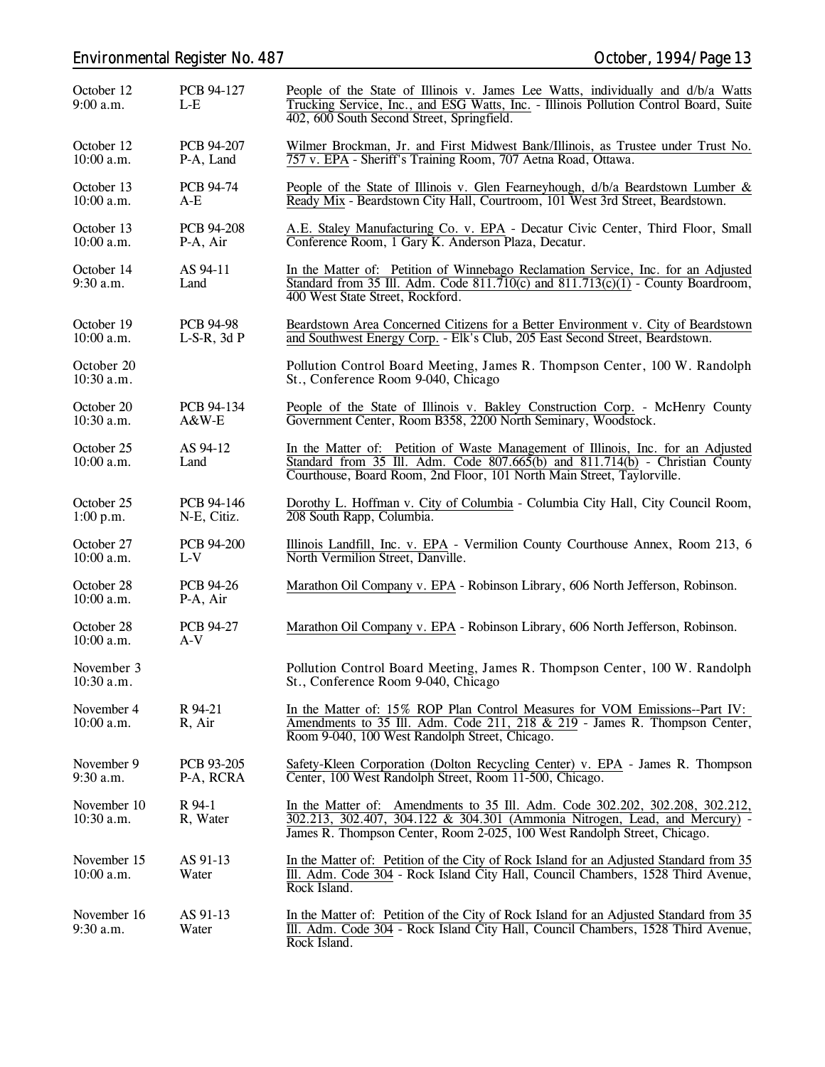## *Environmental Register No. 487 October, 1994/Page 13*

| October 12<br>$9:00$ a.m.   | PCB 94-127<br>$L-E$                  | People of the State of Illinois v. James Lee Watts, individually and d/b/a Watts<br>Trucking Service, Inc., and ESG Watts, Inc. - Illinois Pollution Control Board, Suite<br>402, 600 South Second Street, Springfield.                    |  |
|-----------------------------|--------------------------------------|--------------------------------------------------------------------------------------------------------------------------------------------------------------------------------------------------------------------------------------------|--|
| October 12<br>$10:00$ a.m.  | PCB 94-207<br>P-A, Land              | Wilmer Brockman, Jr. and First Midwest Bank/Illinois, as Trustee under Trust No.<br>757 v. EPA - Sheriff's Training Room, 707 Aetna Road, Ottawa.                                                                                          |  |
| October 13<br>10:00 a.m.    | PCB 94-74<br>$A-E$                   | People of the State of Illinois v. Glen Fearneyhough, d/b/a Beardstown Lumber &<br>Ready Mix - Beardstown City Hall, Courtroom, 101 West 3rd Street, Beardstown.                                                                           |  |
| October 13<br>$10:00$ a.m.  | PCB 94-208<br>P-A, Air               | A.E. Staley Manufacturing Co. v. EPA - Decatur Civic Center, Third Floor, Small<br>Conference Room, 1 Gary K. Anderson Plaza, Decatur.                                                                                                     |  |
| October 14<br>$9:30$ a.m.   | AS 94-11<br>Land                     | In the Matter of: Petition of Winnebago Reclamation Service, Inc. for an Adjusted<br>Standard from 35 Ill. Adm. Code $811.710(c)$ and $811.713(c)(1)$ - County Boardroom,<br>400 West State Street, Rockford.                              |  |
| October 19<br>10:00 a.m.    | <b>PCB 94-98</b><br>$L-S-R$ , 3d $P$ | Beardstown Area Concerned Citizens for a Better Environment v. City of Beardstown<br>and Southwest Energy Corp. - Elk's Club, 205 East Second Street, Beardstown.                                                                          |  |
| October 20<br>$10:30$ a.m.  |                                      | Pollution Control Board Meeting, James R. Thompson Center, 100 W. Randolph<br>St., Conference Room 9-040, Chicago                                                                                                                          |  |
| October 20<br>$10:30$ a.m.  | PCB 94-134<br>$A&W-E$                | People of the State of Illinois v. Bakley Construction Corp. - McHenry County<br>Government Center, Room B358, 2200 North Seminary, Woodstock.                                                                                             |  |
| October 25<br>$10:00$ a.m.  | AS 94-12<br>Land                     | In the Matter of: Petition of Waste Management of Illinois, Inc. for an Adjusted<br>Standard from 35 Ill. Adm. Code 807.665(b) and 811.714(b) - Christian County<br>Courthouse, Board Room, 2nd Floor, 101 North Main Street, Taylorville. |  |
| October 25<br>1:00 p.m.     | PCB 94-146<br>N-E, Citiz.            | Dorothy L. Hoffman v. City of Columbia - Columbia City Hall, City Council Room,<br>208 South Rapp, Columbia.                                                                                                                               |  |
| October 27<br>$10:00$ a.m.  | PCB 94-200<br>$L-V$                  | Illinois Landfill, Inc. v. EPA - Vermilion County Courthouse Annex, Room 213, 6<br>North Vermilion Street, Danville.                                                                                                                       |  |
| October 28<br>$10:00$ a.m.  | <b>PCB 94-26</b><br>P-A, Air         | Marathon Oil Company v. EPA - Robinson Library, 606 North Jefferson, Robinson.                                                                                                                                                             |  |
| October 28<br>10:00 a.m.    | PCB 94-27<br>$A-V$                   | Marathon Oil Company v. EPA - Robinson Library, 606 North Jefferson, Robinson.                                                                                                                                                             |  |
| November 3<br>$10:30$ a.m.  |                                      | Pollution Control Board Meeting, James R. Thompson Center, 100 W. Randolph<br>St., Conference Room 9-040, Chicago                                                                                                                          |  |
| November 4<br>$10:00$ a.m.  | R 94-21<br>R, Air                    | In the Matter of: 15% ROP Plan Control Measures for VOM Emissions--Part IV:<br>Amendments to 35 Ill. Adm. Code 211, 218 & 219 - James R. Thompson Center,<br>Room 9-040, 100 West Randolph Street, Chicago.                                |  |
| November 9<br>$9:30$ a.m.   | PCB 93-205<br>P-A, RCRA              | Safety-Kleen Corporation (Dolton Recycling Center) v. EPA - James R. Thompson<br>Center, 100 West Randolph Street, Room 11-500, Chicago.                                                                                                   |  |
| November 10<br>10:30 a.m.   | R 94-1<br>R, Water                   | In the Matter of: Amendments to 35 Ill. Adm. Code 302.202, 302.208, 302.212,<br>302.213, 302.407, 304.122 & 304.301 (Ammonia Nitrogen, Lead, and Mercury) -<br>James R. Thompson Center, Room 2-025, 100 West Randolph Street, Chicago.    |  |
| November 15<br>$10:00$ a.m. | AS 91-13<br>Water                    | In the Matter of: Petition of the City of Rock Island for an Adjusted Standard from 35<br>III. Adm. Code 304 - Rock Island City Hall, Council Chambers, 1528 Third Avenue,<br>Rock Island.                                                 |  |
| November 16<br>$9:30$ a.m.  | AS 91-13<br>Water                    | In the Matter of: Petition of the City of Rock Island for an Adjusted Standard from 35<br>III. Adm. Code 304 - Rock Island City Hall, Council Chambers, 1528 Third Avenue,<br>Rock Island.                                                 |  |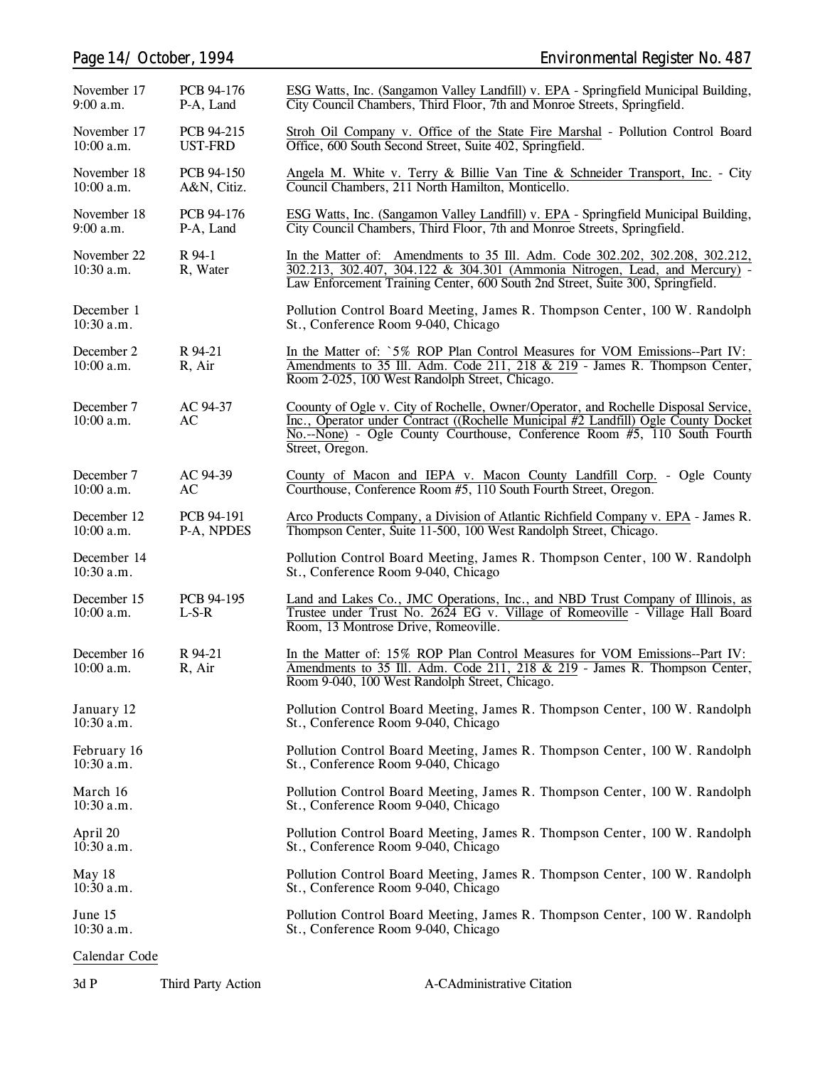| November 17<br>$9:00$ a.m.  | PCB 94-176<br>P-A, Land   | ESG Watts, Inc. (Sangamon Valley Landfill) v. EPA - Springfield Municipal Building,<br>City Council Chambers, Third Floor, 7th and Monroe Streets, Springfield.                                                                                                           |
|-----------------------------|---------------------------|---------------------------------------------------------------------------------------------------------------------------------------------------------------------------------------------------------------------------------------------------------------------------|
| November 17<br>$10:00$ a.m. | PCB 94-215<br>UST-FRD     | Stroh Oil Company v. Office of the State Fire Marshal - Pollution Control Board<br>Office, 600 South Second Street, Suite 402, Springfield.                                                                                                                               |
| November 18<br>$10:00$ a.m. | PCB 94-150<br>A&N, Citiz. | Angela M. White v. Terry & Billie Van Tine & Schneider Transport, Inc. - City<br>Council Chambers, 211 North Hamilton, Monticello.                                                                                                                                        |
| November 18<br>$9:00$ a.m.  | PCB 94-176<br>P-A, Land   | ESG Watts, Inc. (Sangamon Valley Landfill) v. EPA - Springfield Municipal Building,<br>City Council Chambers, Third Floor, 7th and Monroe Streets, Springfield.                                                                                                           |
| November 22<br>$10:30$ a.m. | R 94-1<br>R, Water        | In the Matter of: Amendments to 35 Ill. Adm. Code 302.202, 302.208, 302.212,<br>$302.213$ , $302.407$ , $304.122$ & $304.301$ (Ammonia Nitrogen, Lead, and Mercury) -<br>Law Enforcement Training Center, 600 South 2nd Street, Suite 300, Springfield.                   |
| December 1<br>$10:30$ a.m.  |                           | Pollution Control Board Meeting, James R. Thompson Center, 100 W. Randolph<br>St., Conference Room 9-040, Chicago                                                                                                                                                         |
| December 2<br>$10:00$ a.m.  | R 94-21<br>R, Air         | In the Matter of: `5% ROP Plan Control Measures for VOM Emissions--Part IV:<br>Amendments to 35 Ill. Adm. Code 211, 218 & 219 - James R. Thompson Center,<br>Room 2-025, 100 West Randolph Street, Chicago.                                                               |
| December 7<br>$10:00$ a.m.  | AC 94-37<br>AC            | Coounty of Ogle v. City of Rochelle, Owner/Operator, and Rochelle Disposal Service,<br>Inc., Operator under Contract ((Rochelle Municipal #2 Landfill) Ogle County Docket<br>No.--None) - Ogle County Courthouse, Conference Room #5, 110 South Fourth<br>Street, Oregon. |
| December 7<br>$10:00$ a.m.  | AC 94-39<br>AC            | County of Macon and IEPA v. Macon County Landfill Corp. - Ogle County<br>Courthouse, Conference Room #5, 110 South Fourth Street, Oregon.                                                                                                                                 |
| December 12<br>$10:00$ a.m. | PCB 94-191<br>P-A, NPDES  | Arco Products Company, a Division of Atlantic Richfield Company v. EPA - James R.<br>Thompson Center, Suite 11-500, 100 West Randolph Street, Chicago.                                                                                                                    |
| December 14<br>$10:30$ a.m. |                           | Pollution Control Board Meeting, James R. Thompson Center, 100 W. Randolph<br>St., Conference Room 9-040, Chicago                                                                                                                                                         |
| December 15<br>$10:00$ a.m. | PCB 94-195<br>$L-S-R$     | Land and Lakes Co., JMC Operations, Inc., and NBD Trust Company of Illinois, as<br>Trustee under Trust No. 2624 EG v. Village of Romeoville - Village Hall Board<br>Room, 13 Montrose Drive, Romeoville.                                                                  |
| December 16<br>$10:00$ a.m. | R 94-21<br>R, Air         | In the Matter of: 15% ROP Plan Control Measures for VOM Emissions--Part IV:<br>Amendments to 35 Ill. Adm. Code 211, 218 & 219 - James R. Thompson Center,<br>Room 9-040, 100 West Randolph Street, Chicago.                                                               |
| January 12<br>$10:30$ a.m.  |                           | Pollution Control Board Meeting, James R. Thompson Center, 100 W. Randolph<br>St., Conference Room 9-040, Chicago                                                                                                                                                         |
| February 16<br>$10:30$ a.m. |                           | Pollution Control Board Meeting, James R. Thompson Center, 100 W. Randolph<br>St., Conference Room 9-040, Chicago                                                                                                                                                         |
| March 16<br>$10:30$ a.m.    |                           | Pollution Control Board Meeting, James R. Thompson Center, 100 W. Randolph<br>St., Conference Room 9-040, Chicago                                                                                                                                                         |
| April 20<br>$10:30$ a.m.    |                           | Pollution Control Board Meeting, James R. Thompson Center, 100 W. Randolph<br>St., Conference Room 9-040, Chicago                                                                                                                                                         |
| May 18<br>$10:30$ a.m.      |                           | Pollution Control Board Meeting, James R. Thompson Center, 100 W. Randolph<br>St., Conference Room 9-040, Chicago                                                                                                                                                         |
| June 15<br>$10:30$ a.m.     |                           | Pollution Control Board Meeting, James R. Thompson Center, 100 W. Randolph<br>St., Conference Room 9-040, Chicago                                                                                                                                                         |
| Calendar Code               |                           |                                                                                                                                                                                                                                                                           |

3d P Third Party Action A-CAdministrative Citation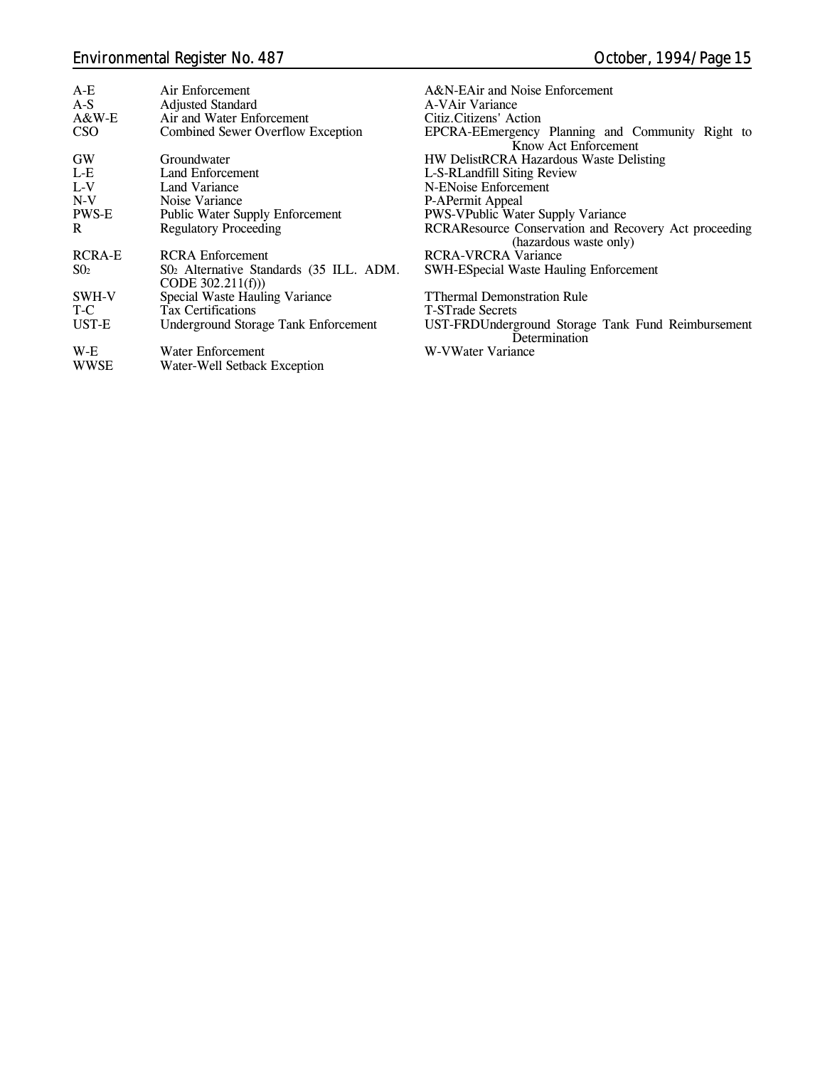## *Environmental Register No. 487 October, 1994/Page 15*

| $A-E$<br>$A-S$ | Air Enforcement<br><b>Adjusted Standard</b>                   | A&N-EAir and Noise Enforcement<br>A-VAir Variance                               |
|----------------|---------------------------------------------------------------|---------------------------------------------------------------------------------|
| A&W-E          | Air and Water Enforcement                                     | Citiz.Citizens' Action                                                          |
| <b>CSO</b>     | <b>Combined Sewer Overflow Exception</b>                      | EPCRA-EEmergency Planning and Community Right to<br>Know Act Enforcement        |
| GW             | Groundwater                                                   | <b>HW DelistRCRA Hazardous Waste Delisting</b>                                  |
| L-E            | Land Enforcement                                              | L-S-RLandfill Siting Review                                                     |
| $L-V$          | Land Variance                                                 | N-ENoise Enforcement                                                            |
| $N-V$          | Noise Variance                                                | P-APermit Appeal                                                                |
| PWS-E          | <b>Public Water Supply Enforcement</b>                        | PWS-VPublic Water Supply Variance                                               |
| R.             | <b>Regulatory Proceeding</b>                                  | RCRAResource Conservation and Recovery Act proceeding<br>(hazardous waste only) |
| <b>RCRA-E</b>  | <b>RCRA</b> Enforcement                                       | RCRA-VRCRA Variance                                                             |
| $S_{02}$       | S02 Alternative Standards (35 ILL. ADM.<br>CODE $302.211(f))$ | <b>SWH-ESpecial Waste Hauling Enforcement</b>                                   |
| SWH-V          | Special Waste Hauling Variance                                | <b>TThermal Demonstration Rule</b>                                              |
| T-C            | <b>Tax Certifications</b>                                     | <b>T-STrade Secrets</b>                                                         |
| UST-E          | Underground Storage Tank Enforcement                          | UST-FRDUnderground Storage Tank Fund Reimbursement<br>Determination             |
| W-E            | Water Enforcement                                             | W-VWater Variance                                                               |
| <b>WWSE</b>    | Water-Well Setback Exception                                  |                                                                                 |